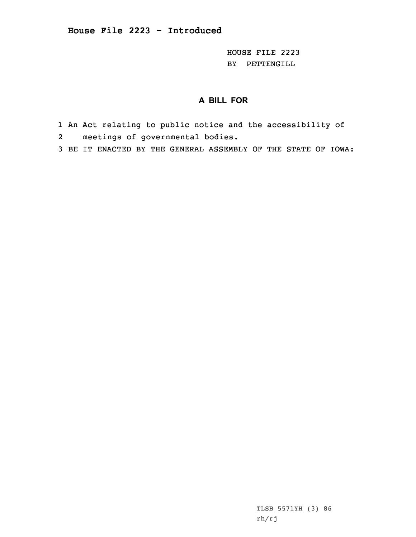HOUSE FILE 2223 BY PETTENGILL

## **A BILL FOR**

- 1 An Act relating to public notice and the accessibility of 2meetings of governmental bodies.
- 3 BE IT ENACTED BY THE GENERAL ASSEMBLY OF THE STATE OF IOWA:

TLSB 5571YH (3) 86 rh/rj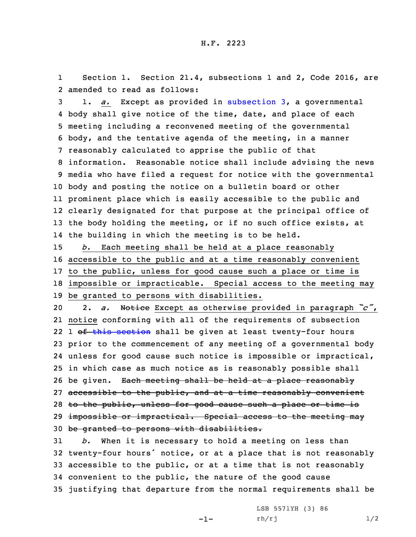1 Section 1. Section 21.4, subsections 1 and 2, Code 2016, are 2 amended to read as follows:

 1. *a.* Except as provided in [subsection](https://www.legis.iowa.gov/docs/code/2016/21.4.pdf) 3, <sup>a</sup> governmental body shall give notice of the time, date, and place of each meeting including <sup>a</sup> reconvened meeting of the governmental body, and the tentative agenda of the meeting, in <sup>a</sup> manner reasonably calculated to apprise the public of that information. Reasonable notice shall include advising the news media who have filed <sup>a</sup> request for notice with the governmental body and posting the notice on <sup>a</sup> bulletin board or other prominent place which is easily accessible to the public and clearly designated for that purpose at the principal office of the body holding the meeting, or if no such office exists, at the building in which the meeting is to be held.

 *b.* Each meeting shall be held at <sup>a</sup> place reasonably accessible to the public and at <sup>a</sup> time reasonably convenient to the public, unless for good cause such <sup>a</sup> place or time is impossible or impracticable. Special access to the meeting may be granted to persons with disabilities.

<sup>20</sup> 2. *a.* Notice Except as otherwise provided in paragraph *"c"*, 21 notice conforming with all of the requirements of subsection 22 1 <del>of this [section](https://www.legis.iowa.gov/docs/code/2016/21.4.pdf)</del> shall be given at least twenty-four hours 23 prior to the commencement of any meeting of <sup>a</sup> governmental body 24 unless for good cause such notice is impossible or impractical, 25 in which case as much notice as is reasonably possible shall 26 be given. Each meeting shall be held at a place reasonably 27 accessible to the public, and at a time reasonably convenient 28 to the public, unless for good cause such a place or time is 29 impossible or impractical. Special access to the meeting may 30 be granted to persons with disabilities.

 *b.* When it is necessary to hold <sup>a</sup> meeting on less than twenty-four hours' notice, or at <sup>a</sup> place that is not reasonably accessible to the public, or at <sup>a</sup> time that is not reasonably convenient to the public, the nature of the good cause justifying that departure from the normal requirements shall be

-1-

LSB 5571YH (3) 86  $rh/rj$   $1/2$